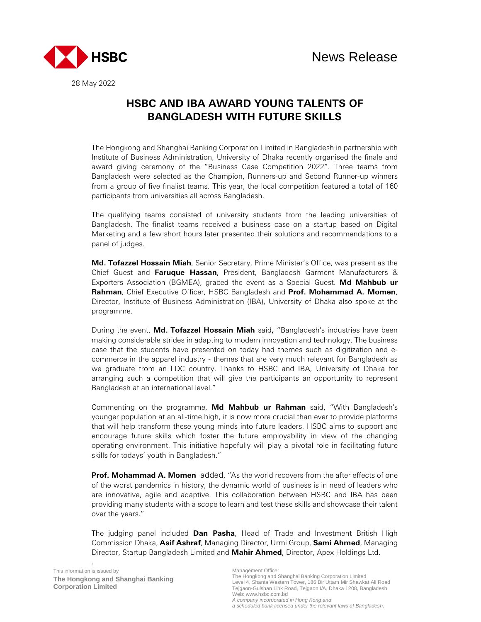

28 May 2022

# **HSBC AND IBA AWARD YOUNG TALENTS OF BANGLADESH WITH FUTURE SKILLS**

The Hongkong and Shanghai Banking Corporation Limited in Bangladesh in partnership with Institute of Business Administration, University of Dhaka recently organised the finale and award giving ceremony of the "Business Case Competition 2022". Three teams from Bangladesh were selected as the Champion, Runners-up and Second Runner-up winners from a group of five finalist teams. This year, the local competition featured a total of 160 participants from universities all across Bangladesh.

The qualifying teams consisted of university students from the leading universities of Bangladesh. The finalist teams received a business case on a startup based on Digital Marketing and a few short hours later presented their solutions and recommendations to a panel of judges.

**Md. Tofazzel Hossain Miah**, Senior Secretary, Prime Minister's Office, was present as the Chief Guest and **Faruque Hassan**, President, Bangladesh Garment Manufacturers & Exporters Association (BGMEA), graced the event as a Special Guest. **Md Mahbub ur Rahman**, Chief Executive Officer, HSBC Bangladesh and **Prof. Mohammad A. Momen**, Director, Institute of Business Administration (IBA), University of Dhaka also spoke at the programme.

During the event, **Md. Tofazzel Hossain Miah** said**,** "Bangladesh's industries have been making considerable strides in adapting to modern innovation and technology. The business case that the students have presented on today had themes such as digitization and ecommerce in the apparel industry - themes that are very much relevant for Bangladesh as we graduate from an LDC country. Thanks to HSBC and IBA, University of Dhaka for arranging such a competition that will give the participants an opportunity to represent Bangladesh at an international level."

Commenting on the programme, **Md Mahbub ur Rahman** said, "With Bangladesh's younger population at an all-time high, it is now more crucial than ever to provide platforms that will help transform these young minds into future leaders. HSBC aims to support and encourage future skills which foster the future employability in view of the changing operating environment. This initiative hopefully will play a pivotal role in facilitating future skills for todays' youth in Bangladesh."

**Prof. Mohammad A. Momen** added, "As the world recovers from the after effects of one of the worst pandemics in history, the dynamic world of business is in need of leaders who are innovative, agile and adaptive. This collaboration between HSBC and IBA has been providing many students with a scope to learn and test these skills and showcase their talent over the years."

The judging panel included **Dan Pasha**, Head of Trade and Investment British High Commission Dhaka, **Asif Ashraf**, Managing Director, Urmi Group, **Sami Ahmed**, Managing Director, Startup Bangladesh Limited and **Mahir Ahmed**, Director, Apex Holdings Ltd.

.